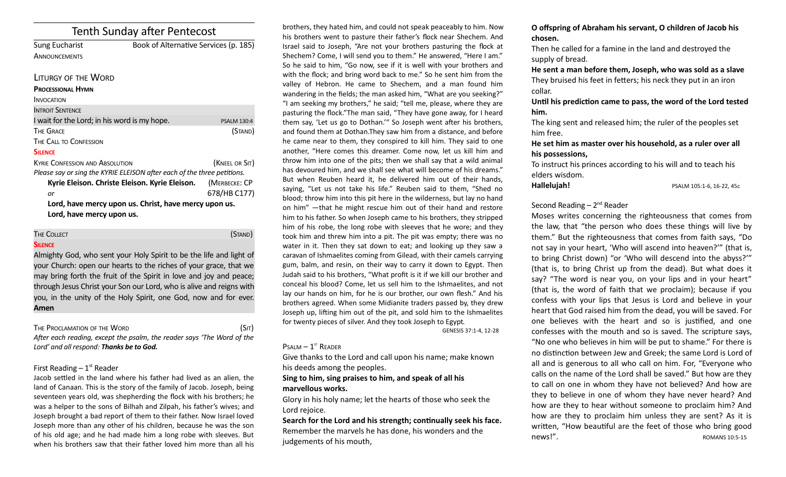# Tenth Sunday after Pentecost

| <b>Sung Eucharist</b> | Book of Alternative Services (p. 185) |
|-----------------------|---------------------------------------|
| ANNOUNCEMENTS         |                                       |

### LITURGY OF THE WORD

#### **PROCESSIONAL HYMN**

| <b>INVOCATION</b>                            |                    |
|----------------------------------------------|--------------------|
| <b>INTROIT SENTENCE</b>                      |                    |
| I wait for the Lord; in his word is my hope. | <b>PSALM 130:4</b> |
| <b>THE GRACE</b>                             | (Stand)            |
| THE CALL TO CONFESSION                       |                    |
| <b>Cursier</b>                               |                    |

#### **SILENCE**

| <b>KYRIE CONFESSION AND ABSOLUTION</b>                                  | (KNEEL OR SIT) |
|-------------------------------------------------------------------------|----------------|
| Please say or sing the KYRIE ELEISON after each of the three petitions. |                |
| Kyrie Eleison. Christe Eleison. Kyrie Eleison.                          | (MERBECKE: CP  |
| or                                                                      | 678/HB C177)   |
| Lord, have mercy upon us. Christ, have mercy upon us.                   |                |
| Lord, have mercy upon us.                                               |                |

#### THE COLLECT **THE COLLECT COLLECT**

### **SILENCE**

Almighty God, who sent your Holy Spirit to be the life and light of your Church: open our hearts to the riches of your grace, that we may bring forth the fruit of the Spirit in love and joy and peace; through Jesus Christ your Son our Lord, who is alive and reigns with you, in the unity of the Holy Spirit, one God, now and for ever. **Amen**

#### THE PROCLAMATION OF THE WORD (SIT)

*Afer each reading, except the psalm, the reader says 'The Word of the Lord' and all respond: Thanks be to God.* 

### First Reading  $-1<sup>st</sup>$  Reader

Jacob setled in the land where his father had lived as an alien, the land of Canaan. This is the story of the family of Jacob. Joseph, being seventeen years old, was shepherding the fock with his brothers; he was a helper to the sons of Bilhah and Zilpah, his father's wives; and Joseph brought a bad report of them to their father. Now Israel loved Joseph more than any other of his children, because he was the son of his old age; and he had made him a long robe with sleeves. But when his brothers saw that their father loved him more than all his

brothers, they hated him, and could not speak peaceably to him. Now his brothers went to pasture their father's fock near Shechem. And Israel said to Joseph, "Are not your brothers pasturing the fock at Shechem? Come, I will send you to them." He answered, "Here I am." So he said to him, "Go now, see if it is well with your brothers and with the flock; and bring word back to me." So he sent him from the valley of Hebron. He came to Shechem, and a man found him wandering in the fields; the man asked him, "What are you seeking?" "I am seeking my brothers," he said; "tell me, please, where they are pasturing the fock."The man said, "They have gone away, for I heard them say, 'Let us go to Dothan.'" So Joseph went after his brothers, and found them at Dothan.They saw him from a distance, and before he came near to them, they conspired to kill him. They said to one another, "Here comes this dreamer. Come now, let us kill him and throw him into one of the pits; then we shall say that a wild animal has devoured him, and we shall see what will become of his dreams." But when Reuben heard it, he delivered him out of their hands, saying, "Let us not take his life." Reuben said to them, "Shed no blood; throw him into this pit here in the wilderness, but lay no hand on him" —that he might rescue him out of their hand and restore him to his father. So when Joseph came to his brothers, they stripped him of his robe, the long robe with sleeves that he wore; and they took him and threw him into a pit. The pit was empty; there was no water in it. Then they sat down to eat; and looking up they saw a caravan of Ishmaelites coming from Gilead, with their camels carrying gum, balm, and resin, on their way to carry it down to Egypt. Then Judah said to his brothers, "What proft is it if we kill our brother and conceal his blood? Come, let us sell him to the Ishmaelites, and not lay our hands on him, for he is our brother, our own fesh." And his brothers agreed. When some Midianite traders passed by, they drew Joseph up, lifing him out of the pit, and sold him to the Ishmaelites for twenty pieces of silver. And they took Joseph to Egypt.

GENESIS 37:1-4, 12-28

#### $P$ SALM  $-1$ <sup>ST</sup> READER

Give thanks to the Lord and call upon his name; make known his deeds among the peoples.

### **Sing to him, sing praises to him, and speak of all his marvellous works.**

Glory in his holy name; let the hearts of those who seek the Lord rejoice.

**Search for the Lord and his strength; continually seek his face.** Remember the marvels he has done, his wonders and the judgements of his mouth,

### **O offspring of Abraham his servant, O children of Jacob his chosen.**

Then he called for a famine in the land and destroyed the supply of bread.

**He sent a man before them, Joseph, who was sold as a slave** They bruised his feet in fetters; his neck they put in an iron collar.

**Until his prediction came to pass, the word of the Lord tested him.**

The king sent and released him; the ruler of the peoples set him free.

### **He set him as master over his household, as a ruler over all his possessions,**

To instruct his princes according to his will and to teach his elders wisdom.

**Hallelujah!** PSALM 105:1-6, 16-22, 45c

### Second Reading  $-2^{nd}$  Reader

Moses writes concerning the righteousness that comes from the law, that "the person who does these things will live by them." But the righteousness that comes from faith says, "Do not say in your heart, 'Who will ascend into heaven?'" (that is, to bring Christ down) "or 'Who will descend into the abyss?'" (that is, to bring Christ up from the dead). But what does it say? "The word is near you, on your lips and in your heart" (that is, the word of faith that we proclaim); because if you confess with your lips that Jesus is Lord and believe in your heart that God raised him from the dead, you will be saved. For one believes with the heart and so is justified, and one confesses with the mouth and so is saved. The scripture says, "No one who believes in him will be put to shame." For there is no distinction between Jew and Greek; the same Lord is Lord of all and is generous to all who call on him. For, "Everyone who calls on the name of the Lord shall be saved." But how are they to call on one in whom they have not believed? And how are they to believe in one of whom they have never heard? And how are they to hear without someone to proclaim him? And how are they to proclaim him unless they are sent? As it is writen, "How beautful are the feet of those who bring good news!".